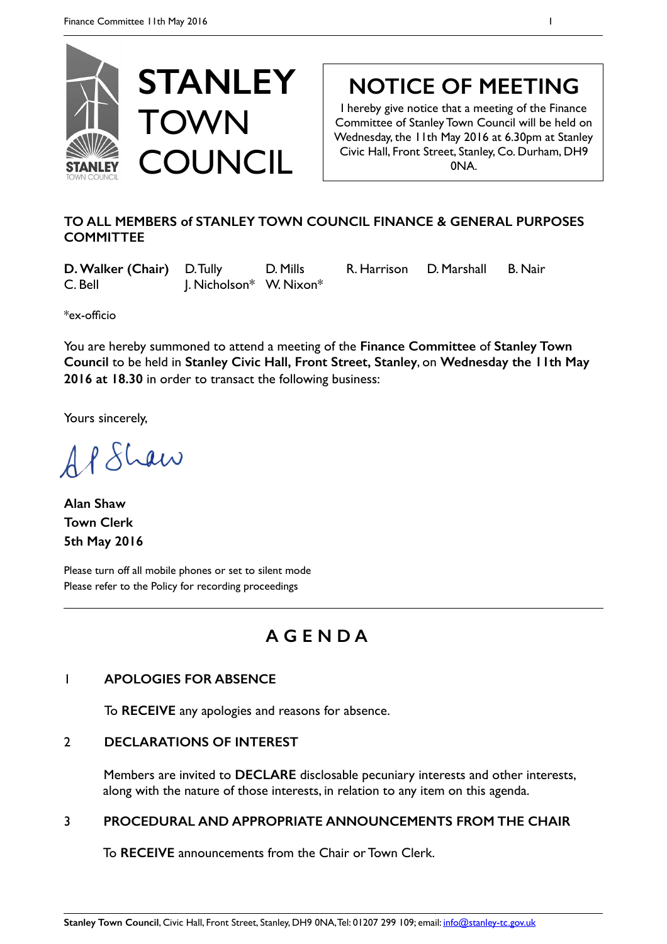

# **NOTICE OF MEETING**

I hereby give notice that a meeting of the Finance Committee of Stanley Town Council will be held on Wednesday, the 11th May 2016 at 6.30pm at Stanley Civic Hall, Front Street, Stanley, Co. Durham, DH9 0NA.

### **TO ALL MEMBERS of STANLEY TOWN COUNCIL FINANCE & GENERAL PURPOSES COMMITTEE**

**D. Walker (Chair)** D. Tully D. Mills R. Harrison D. Marshall B. Nair C. Bell J. Nicholson\* W. Nixon\*

\*ex-officio

You are hereby summoned to attend a meeting of the **Finance Committee** of **Stanley Town Council** to be held in **Stanley Civic Hall, Front Street, Stanley**, on **Wednesday the 11th May 2016 at 18.30** in order to transact the following business:

Yours sincerely,

APSLaw

**Alan Shaw Town Clerk 5th May 2016** 

Please turn off all mobile phones or set to silent mode Please refer to the Policy for recording proceedings

## **A G E N D A**

### 1 **APOLOGIES FOR ABSENCE**

To **RECEIVE** any apologies and reasons for absence.

### 2 **DECLARATIONS OF INTEREST**

Members are invited to **DECLARE** disclosable pecuniary interests and other interests, along with the nature of those interests, in relation to any item on this agenda.

### 3 **PROCEDURAL AND APPROPRIATE ANNOUNCEMENTS FROM THE CHAIR**

To **RECEIVE** announcements from the Chair or Town Clerk.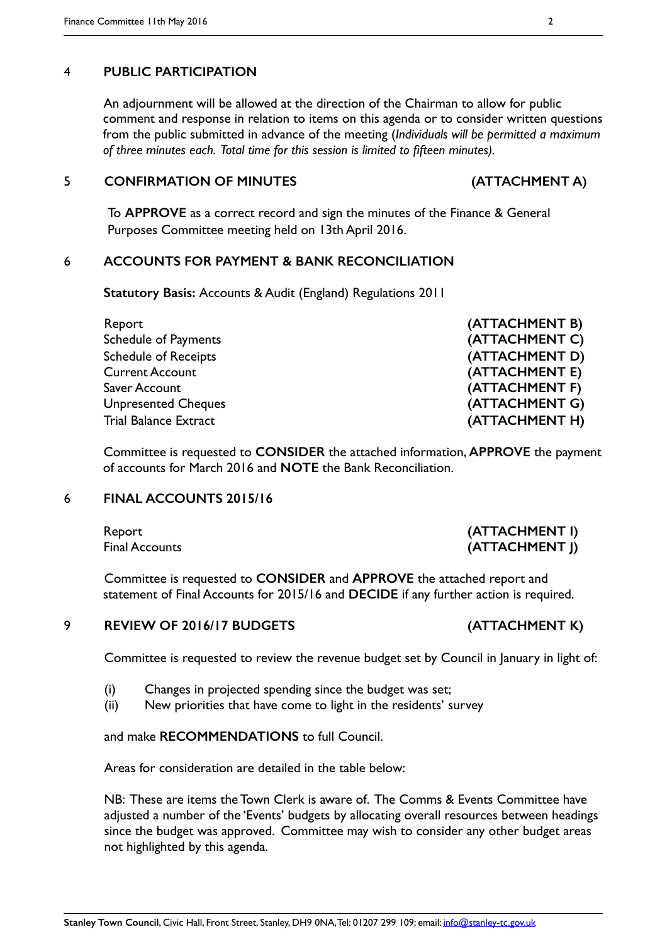#### 4 **PUBLIC PARTICIPATION**

An adjournment will be allowed at the direction of the Chairman to allow for public comment and response in relation to items on this agenda or to consider written questions from the public submitted in advance of the meeting (*Individuals will be permitted a maximum of three minutes each. Total time for this session is limited to fifteen minutes).*

#### 5 **CONFIRMATION OF MINUTES (ATTACHMENT A)**

To **APPROVE** as a correct record and sign the minutes of the Finance & General Purposes Committee meeting held on 13th April 2016.

#### 6 **ACCOUNTS FOR PAYMENT & BANK RECONCILIATION**

 **Statutory Basis:** Accounts & Audit (England) Regulations 2011

Report **(ATTACHMENT B)** Schedule of Payments **(ATTACHMENT C)** Schedule of Receipts **(ATTACHMENT D)** Current Account **(ATTACHMENT E)** Saver Account **(ATTACHMENT F)** Unpresented Cheques **(ATTACHMENT G)** Trial Balance Extract **(ATTACHMENT H)**

Committee is requested to **CONSIDER** the attached information, **APPROVE** the payment of accounts for March 2016 and **NOTE** the Bank Reconciliation.

#### 6 **FINAL ACCOUNTS 2015/16**

Committee is requested to **CONSIDER** and **APPROVE** the attached report and statement of Final Accounts for 2015/16 and **DECIDE** if any further action is required.

#### 9 **REVIEW OF 2016/17 BUDGETS (ATTACHMENT K)**

Committee is requested to review the revenue budget set by Council in January in light of:

- (i) Changes in projected spending since the budget was set;
- (ii) New priorities that have come to light in the residents' survey

#### and make **RECOMMENDATIONS** to full Council.

Areas for consideration are detailed in the table below:

NB: These are items the Town Clerk is aware of. The Comms & Events Committee have adjusted a number of the 'Events' budgets by allocating overall resources between headings since the budget was approved. Committee may wish to consider any other budget areas not highlighted by this agenda.

#### Report **(ATTACHMENT I)** Final Accounts **(ATTACHMENT I)**